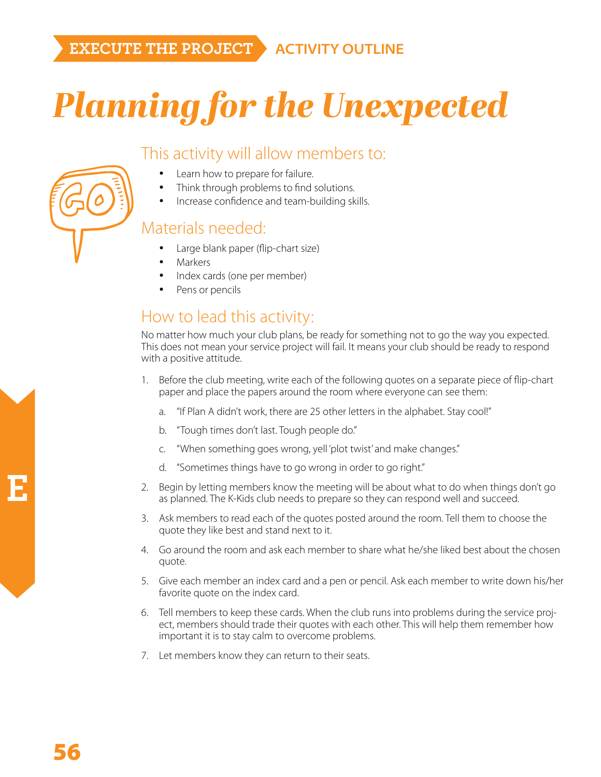## *Planning for the Unexpected*

## This activity will allow members to:

- Learn how to prepare for failure.
	- Think through problems to find solutions.
- Increase confidence and team-building skills.

## Materials needed:

- Large blank paper (flip-chart size)
- **Markers**
- Index cards (one per member)
- Pens or pencils

## How to lead this activity:

No matter how much your club plans, be ready for something not to go the way you expected. This does not mean your service project will fail. It means your club should be ready to respond with a positive attitude.

- 1. Before the club meeting, write each of the following quotes on a separate piece of flip-chart paper and place the papers around the room where everyone can see them:
	- a. "If Plan A didn't work, there are 25 other letters in the alphabet. Stay cool!"
	- b. "Tough times don't last. Tough people do."
	- c. "When something goes wrong, yell 'plot twist' and make changes."
	- d. "Sometimes things have to go wrong in order to go right."
- 2. Begin by letting members know the meeting will be about what to do when things don't go as planned. The K-Kids club needs to prepare so they can respond well and succeed.
- 3. Ask members to read each of the quotes posted around the room. Tell them to choose the quote they like best and stand next to it.
- 4. Go around the room and ask each member to share what he/she liked best about the chosen quote.
- 5. Give each member an index card and a pen or pencil. Ask each member to write down his/her favorite quote on the index card.
- 6. Tell members to keep these cards. When the club runs into problems during the service project, members should trade their quotes with each other. This will help them remember how important it is to stay calm to overcome problems.
- 7. Let members know they can return to their seats.

**E**